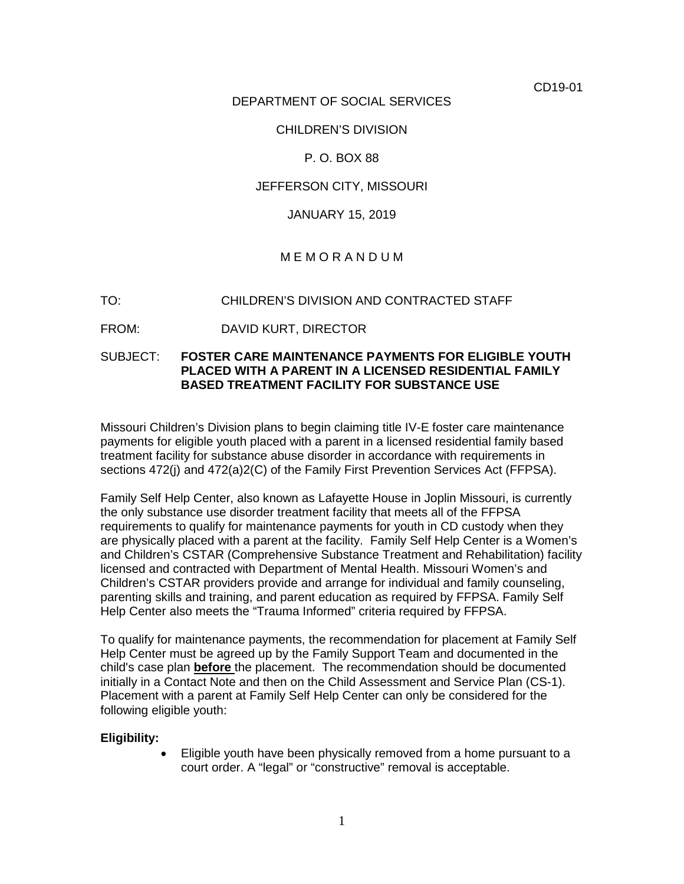CD19-01

## DEPARTMENT OF SOCIAL SERVICES

### CHILDREN'S DIVISION

## P. O. BOX 88

### JEFFERSON CITY, MISSOURI

### JANUARY 15, 2019

# M E M O R A N D U M

#### TO: CHILDREN'S DIVISION AND CONTRACTED STAFF

FROM: DAVID KURT, DIRECTOR

## SUBJECT: **FOSTER CARE MAINTENANCE PAYMENTS FOR ELIGIBLE YOUTH PLACED WITH A PARENT IN A LICENSED RESIDENTIAL FAMILY BASED TREATMENT FACILITY FOR SUBSTANCE USE**

Missouri Children's Division plans to begin claiming title IV-E foster care maintenance payments for eligible youth placed with a parent in a licensed residential family based treatment facility for substance abuse disorder in accordance with requirements in sections 472(j) and 472(a)2(C) of the Family First Prevention Services Act (FFPSA).

Family Self Help Center, also known as Lafayette House in Joplin Missouri, is currently the only substance use disorder treatment facility that meets all of the FFPSA requirements to qualify for maintenance payments for youth in CD custody when they are physically placed with a parent at the facility. Family Self Help Center is a Women's and Children's CSTAR (Comprehensive Substance Treatment and Rehabilitation) facility licensed and contracted with Department of Mental Health. Missouri Women's and Children's CSTAR providers provide and arrange for individual and family counseling, parenting skills and training, and parent education as required by FFPSA. Family Self Help Center also meets the "Trauma Informed" criteria required by FFPSA.

To qualify for maintenance payments, the recommendation for placement at Family Self Help Center must be agreed up by the Family Support Team and documented in the child's case plan **before** the placement. The recommendation should be documented initially in a Contact Note and then on the Child Assessment and Service Plan (CS-1). Placement with a parent at Family Self Help Center can only be considered for the following eligible youth:

#### **Eligibility:**

• Eligible youth have been physically removed from a home pursuant to a court order. A "legal" or "constructive" removal is acceptable.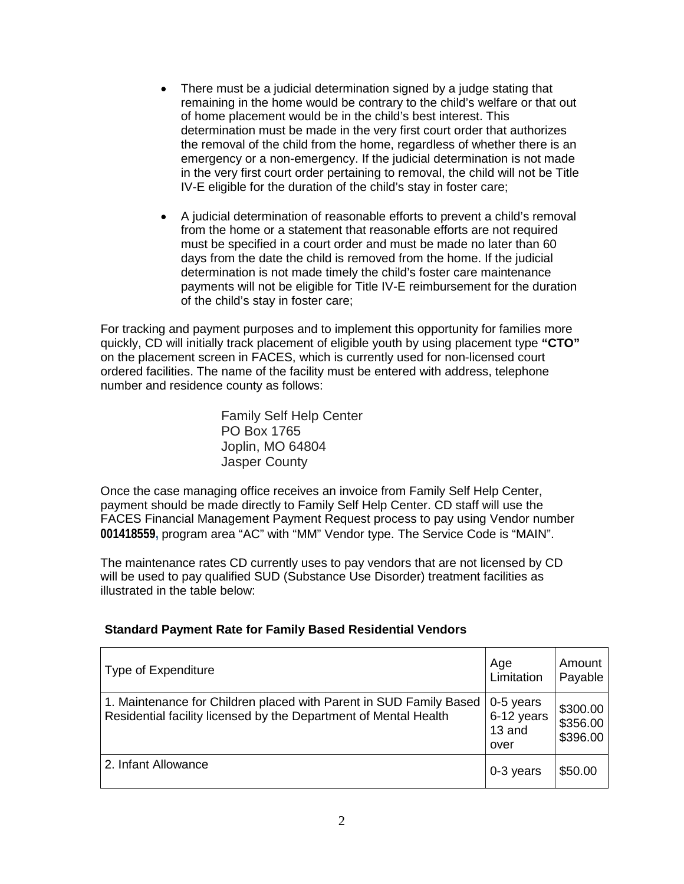- There must be a judicial determination signed by a judge stating that remaining in the home would be contrary to the child's welfare or that out of home placement would be in the child's best interest. This determination must be made in the very first court order that authorizes the removal of the child from the home, regardless of whether there is an emergency or a non-emergency. If the judicial determination is not made in the very first court order pertaining to removal, the child will not be Title IV-E eligible for the duration of the child's stay in foster care;
- A judicial determination of reasonable efforts to prevent a child's removal from the home or a statement that reasonable efforts are not required must be specified in a court order and must be made no later than 60 days from the date the child is removed from the home. If the judicial determination is not made timely the child's foster care maintenance payments will not be eligible for Title IV-E reimbursement for the duration of the child's stay in foster care;

For tracking and payment purposes and to implement this opportunity for families more quickly, CD will initially track placement of eligible youth by using placement type **"CTO"** on the placement screen in FACES, which is currently used for non-licensed court ordered facilities. The name of the facility must be entered with address, telephone number and residence county as follows:

> Family Self Help Center PO Box 1765 Joplin, MO 64804 Jasper County

Once the case managing office receives an invoice from Family Self Help Center, payment should be made directly to Family Self Help Center. CD staff will use the FACES Financial Management Payment Request process to pay using Vendor number **001418559,** program area "AC" with "MM" Vendor type. The Service Code is "MAIN".

The maintenance rates CD currently uses to pay vendors that are not licensed by CD will be used to pay qualified SUD (Substance Use Disorder) treatment facilities as illustrated in the table below:

# **Standard Payment Rate for Family Based Residential Vendors**

| Type of Expenditure                                                                                                                    | Age<br>Limitation                           | Amount<br>Payable                |
|----------------------------------------------------------------------------------------------------------------------------------------|---------------------------------------------|----------------------------------|
| 1. Maintenance for Children placed with Parent in SUD Family Based<br>Residential facility licensed by the Department of Mental Health | $0-5$ years<br>6-12 years<br>13 and<br>over | \$300.00<br>\$356.00<br>\$396.00 |
| 2. Infant Allowance                                                                                                                    | 0-3 years                                   | \$50.00                          |